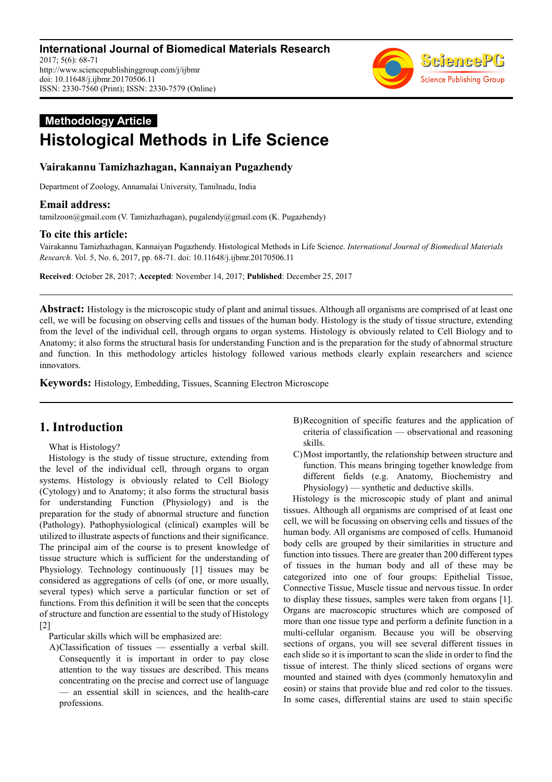

# **Methodology Article Histological Methods in Life Science**

# **Vairakannu Tamizhazhagan, Kannaiyan Pugazhendy**

Department of Zoology, Annamalai University, Tamilnadu, India

# **Email address:**

tamilzoon@gmail.com (V. Tamizhazhagan), pugalendy@gmail.com (K. Pugazhendy)

# **To cite this article:**

Vairakannu Tamizhazhagan, Kannaiyan Pugazhendy. Histological Methods in Life Science. *International Journal of Biomedical Materials Research*. Vol. 5, No. 6, 2017, pp. 68-71. doi: 10.11648/j.ijbmr.20170506.11

**Received**: October 28, 2017; **Accepted**: November 14, 2017; **Published**: December 25, 2017

**Abstract:** Histology is the microscopic study of plant and animal tissues. Although all organisms are comprised of at least one cell, we will be focusing on observing cells and tissues of the human body. Histology is the study of tissue structure, extending from the level of the individual cell, through organs to organ systems. Histology is obviously related to Cell Biology and to Anatomy; it also forms the structural basis for understanding Function and is the preparation for the study of abnormal structure and function. In this methodology articles histology followed various methods clearly explain researchers and science innovators.

**Keywords:** Histology, Embedding, Tissues, Scanning Electron Microscope

# **1. Introduction**

What is Histology?

Histology is the study of tissue structure, extending from the level of the individual cell, through organs to organ systems. Histology is obviously related to Cell Biology (Cytology) and to Anatomy; it also forms the structural basis for understanding Function (Physiology) and is the preparation for the study of abnormal structure and function (Pathology). Pathophysiological (clinical) examples will be utilized to illustrate aspects of functions and their significance. The principal aim of the course is to present knowledge of tissue structure which is sufficient for the understanding of Physiology. Technology continuously [1] tissues may be considered as aggregations of cells (of one, or more usually, several types) which serve a particular function or set of functions. From this definition it will be seen that the concepts of structure and function are essential to the study of Histology [2]

Particular skills which will be emphasized are:

A)Classification of tissues — essentially a verbal skill. Consequently it is important in order to pay close attention to the way tissues are described. This means concentrating on the precise and correct use of language — an essential skill in sciences, and the health-care professions.

- B)Recognition of specific features and the application of criteria of classification — observational and reasoning skills.
- C)Most importantly, the relationship between structure and function. This means bringing together knowledge from different fields (e.g. Anatomy, Biochemistry and Physiology) — synthetic and deductive skills.

Histology is the microscopic study of plant and animal tissues. Although all organisms are comprised of at least one cell, we will be focussing on observing cells and tissues of the human body. All organisms are composed of cells. Humanoid body cells are grouped by their similarities in structure and function into tissues. There are greater than 200 different types of tissues in the human body and all of these may be categorized into one of four groups: Epithelial Tissue, Connective Tissue, Muscle tissue and nervous tissue. In order to display these tissues, samples were taken from organs [1]. Organs are macroscopic structures which are composed of more than one tissue type and perform a definite function in a multi-cellular organism. Because you will be observing sections of organs, you will see several different tissues in each slide so it is important to scan the slide in order to find the tissue of interest. The thinly sliced sections of organs were mounted and stained with dyes (commonly hematoxylin and eosin) or stains that provide blue and red color to the tissues. In some cases, differential stains are used to stain specific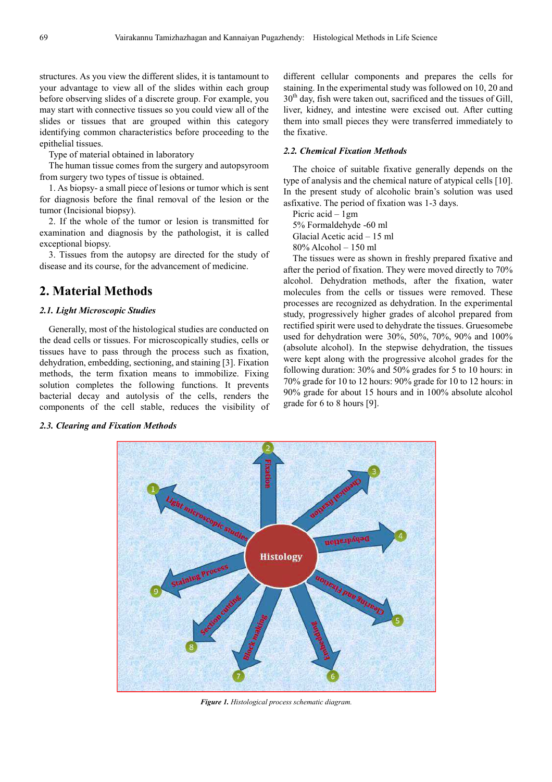structures. As you view the different slides, it is tantamount to your advantage to view all of the slides within each group before observing slides of a discrete group. For example, you may start with connective tissues so you could view all of the slides or tissues that are grouped within this category identifying common characteristics before proceeding to the epithelial tissues.

Type of material obtained in laboratory

The human tissue comes from the surgery and autopsyroom from surgery two types of tissue is obtained.

1. As biopsy- a small piece of lesions or tumor which is sent for diagnosis before the final removal of the lesion or the tumor (Incisional biopsy).

2. If the whole of the tumor or lesion is transmitted for examination and diagnosis by the pathologist, it is called exceptional biopsy.

3. Tissues from the autopsy are directed for the study of disease and its course, for the advancement of medicine.

# **2. Material Methods**

### *2.1. Light Microscopic Studies*

Generally, most of the histological studies are conducted on the dead cells or tissues. For microscopically studies, cells or tissues have to pass through the process such as fixation, dehydration, embedding, sectioning, and staining [3]. Fixation methods, the term fixation means to immobilize. Fixing solution completes the following functions. It prevents bacterial decay and autolysis of the cells, renders the components of the cell stable, reduces the visibility of different cellular components and prepares the cells for staining. In the experimental study was followed on 10, 20 and  $30<sup>th</sup>$  day, fish were taken out, sacrificed and the tissues of Gill, liver, kidney, and intestine were excised out. After cutting them into small pieces they were transferred immediately to the fixative.

#### *2.2. Chemical Fixation Methods*

The choice of suitable fixative generally depends on the type of analysis and the chemical nature of atypical cells [10]. In the present study of alcoholic brain's solution was used asfixative. The period of fixation was 1-3 days.

Picric acid – 1gm 5% Formaldehyde -60 ml Glacial Acetic acid – 15 ml

80% Alcohol – 150 ml

The tissues were as shown in freshly prepared fixative and after the period of fixation. They were moved directly to 70% alcohol. Dehydration methods, after the fixation, water molecules from the cells or tissues were removed. These processes are recognized as dehydration. In the experimental study, progressively higher grades of alcohol prepared from rectified spirit were used to dehydrate the tissues. Gruesomebe used for dehydration were 30%, 50%, 70%, 90% and 100% (absolute alcohol). In the stepwise dehydration, the tissues were kept along with the progressive alcohol grades for the following duration: 30% and 50% grades for 5 to 10 hours: in 70% grade for 10 to 12 hours: 90% grade for 10 to 12 hours: in 90% grade for about 15 hours and in 100% absolute alcohol grade for 6 to 8 hours [9].



*Figure 1. Histological process schematic diagram.* 

#### *2.3. Clearing and Fixation Methods*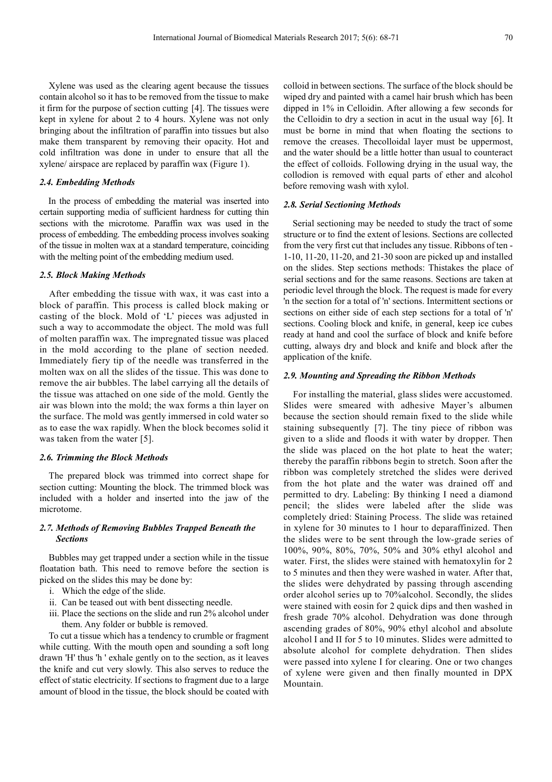Xylene was used as the clearing agent because the tissues contain alcohol so it has to be removed from the tissue to make it firm for the purpose of section cutting [4]. The tissues were kept in xylene for about 2 to 4 hours. Xylene was not only bringing about the infiltration of paraffin into tissues but also make them transparent by removing their opacity. Hot and cold infiltration was done in under to ensure that all the xylene/ airspace are replaced by paraffin wax (Figure 1).

### *2.4. Embedding Methods*

In the process of embedding the material was inserted into certain supporting media of sufficient hardness for cutting thin sections with the microtome. Paraffin wax was used in the process of embedding. The embedding process involves soaking of the tissue in molten wax at a standard temperature, coinciding with the melting point of the embedding medium used.

#### *2.5. Block Making Methods*

After embedding the tissue with wax, it was cast into a block of paraffin. This process is called block making or casting of the block. Mold of 'L' pieces was adjusted in such a way to accommodate the object. The mold was full of molten paraffin wax. The impregnated tissue was placed in the mold according to the plane of section needed. Immediately fiery tip of the needle was transferred in the molten wax on all the slides of the tissue. This was done to remove the air bubbles. The label carrying all the details of the tissue was attached on one side of the mold. Gently the air was blown into the mold; the wax forms a thin layer on the surface. The mold was gently immersed in cold water so as to ease the wax rapidly. When the block becomes solid it was taken from the water [5].

#### *2.6. Trimming the Block Methods*

The prepared block was trimmed into correct shape for section cutting: Mounting the block. The trimmed block was included with a holder and inserted into the jaw of the microtome.

#### *2.7. Methods of Removing Bubbles Trapped Beneath the Sections*

Bubbles may get trapped under a section while in the tissue floatation bath. This need to remove before the section is picked on the slides this may be done by:

- i. Which the edge of the slide.
- ii. Can be teased out with bent dissecting needle.
- iii. Place the sections on the slide and run 2% alcohol under them. Any folder or bubble is removed.

To cut a tissue which has a tendency to crumble or fragment while cutting. With the mouth open and sounding a soft long drawn 'H' thus 'h ' exhale gently on to the section, as it leaves the knife and cut very slowly. This also serves to reduce the effect of static electricity. If sections to fragment due to a large amount of blood in the tissue, the block should be coated with colloid in between sections. The surface of the block should be wiped dry and painted with a camel hair brush which has been dipped in 1% in Celloidin. After allowing a few seconds for the Celloidin to dry a section in acut in the usual way [6]. It must be borne in mind that when floating the sections to remove the creases. Thecolloidal layer must be uppermost, and the water should be a little hotter than usual to counteract the effect of colloids. Following drying in the usual way, the collodion is removed with equal parts of ether and alcohol before removing wash with xylol.

#### *2.8. Serial Sectioning Methods*

Serial sectioning may be needed to study the tract of some structure or to find the extent of lesions. Sections are collected from the very first cut that includes any tissue. Ribbons of ten - 1-10, 11-20, 11-20, and 21-30 soon are picked up and installed on the slides. Step sections methods: Thistakes the place of serial sections and for the same reasons. Sections are taken at periodic level through the block. The request is made for every 'n the section for a total of 'n' sections. Intermittent sections or sections on either side of each step sections for a total of 'n' sections. Cooling block and knife, in general, keep ice cubes ready at hand and cool the surface of block and knife before cutting, always dry and block and knife and block after the application of the knife.

#### *2.9. Mounting and Spreading the Ribbon Methods*

For installing the material, glass slides were accustomed. Slides were smeared with adhesive Mayer's albumen because the section should remain fixed to the slide while staining subsequently [7]. The tiny piece of ribbon was given to a slide and floods it with water by dropper. Then the slide was placed on the hot plate to heat the water; thereby the paraffin ribbons begin to stretch. Soon after the ribbon was completely stretched the slides were derived from the hot plate and the water was drained off and permitted to dry. Labeling: By thinking I need a diamond pencil; the slides were labeled after the slide was completely dried: Staining Process. The slide was retained in xylene for 30 minutes to 1 hour to deparaffinized. Then the slides were to be sent through the low-grade series of 100%, 90%, 80%, 70%, 50% and 30% ethyl alcohol and water. First, the slides were stained with hematoxylin for 2 to 5 minutes and then they were washed in water. After that, the slides were dehydrated by passing through ascending order alcohol series up to 70%alcohol. Secondly, the slides were stained with eosin for 2 quick dips and then washed in fresh grade 70% alcohol. Dehydration was done through ascending grades of 80%, 90% ethyl alcohol and absolute alcohol I and II for 5 to 10 minutes. Slides were admitted to absolute alcohol for complete dehydration. Then slides were passed into xylene I for clearing. One or two changes of xylene were given and then finally mounted in DPX Mountain.